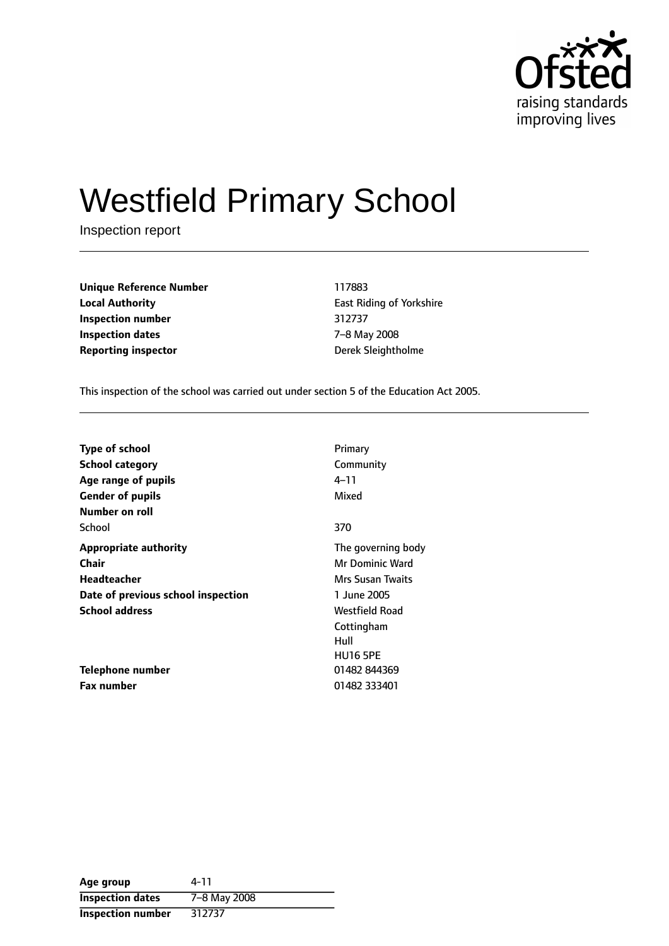

# Westfield Primary School

Inspection report

**Unique Reference Number** 117883 **Local Authority East Riding of Yorkshire Inspection number** 312737 **Inspection dates** 7-8 May 2008 **Reporting inspector CONFIDENTIAL EXECUTES** Derek Sleightholme

This inspection of the school was carried out under section 5 of the Education Act 2005.

| <b>Type of school</b>              | Primary                |
|------------------------------------|------------------------|
| <b>School category</b>             | Community              |
| Age range of pupils                | 4–11                   |
| <b>Gender of pupils</b>            | Mixed                  |
| Number on roll                     |                        |
| School                             | 370                    |
| <b>Appropriate authority</b>       | The governing body     |
| <b>Chair</b>                       | <b>Mr Dominic Ward</b> |
| Headteacher                        | Mrs Susan Twaits       |
| Date of previous school inspection | 1 June 2005            |
| <b>School address</b>              | Westfield Road         |
|                                    | Cottingham             |
|                                    | Hull                   |
|                                    | <b>HU16 5PE</b>        |
| Telephone number                   | 01482 844369           |
| <b>Fax number</b>                  | 01482 333401           |

| Age group                | 4-11         |
|--------------------------|--------------|
| <b>Inspection dates</b>  | 7-8 May 2008 |
| <b>Inspection number</b> | 312737       |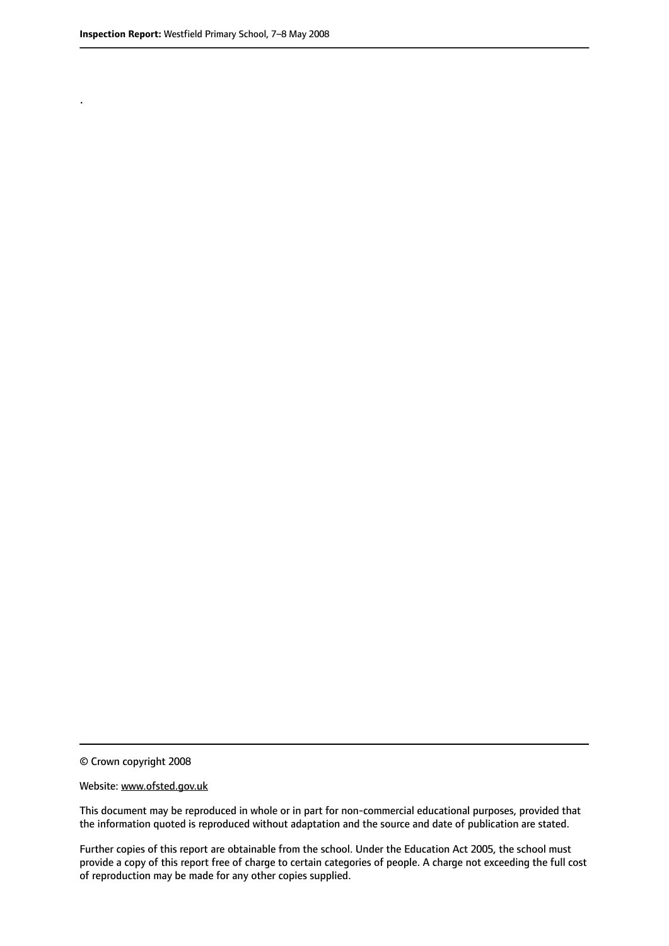.

© Crown copyright 2008

#### Website: www.ofsted.gov.uk

This document may be reproduced in whole or in part for non-commercial educational purposes, provided that the information quoted is reproduced without adaptation and the source and date of publication are stated.

Further copies of this report are obtainable from the school. Under the Education Act 2005, the school must provide a copy of this report free of charge to certain categories of people. A charge not exceeding the full cost of reproduction may be made for any other copies supplied.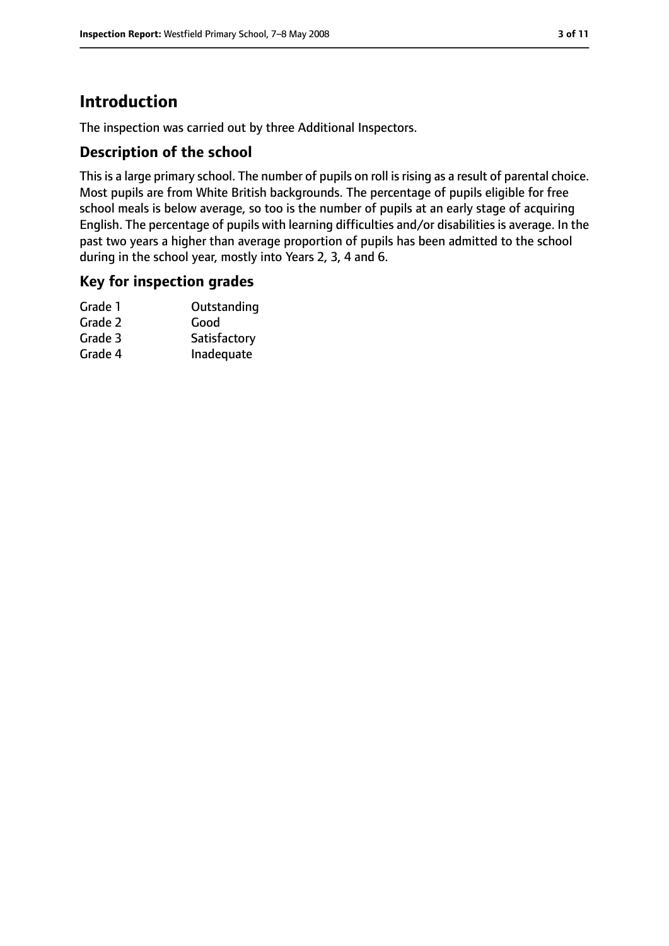# **Introduction**

The inspection was carried out by three Additional Inspectors.

#### **Description of the school**

This is a large primary school. The number of pupils on roll is rising as a result of parental choice. Most pupils are from White British backgrounds. The percentage of pupils eligible for free school meals is below average, so too is the number of pupils at an early stage of acquiring English. The percentage of pupils with learning difficulties and/or disabilities is average. In the past two years a higher than average proportion of pupils has been admitted to the school during in the school year, mostly into Years 2, 3, 4 and 6.

#### **Key for inspection grades**

| Outstanding  |
|--------------|
| Good         |
| Satisfactory |
| Inadequate   |
|              |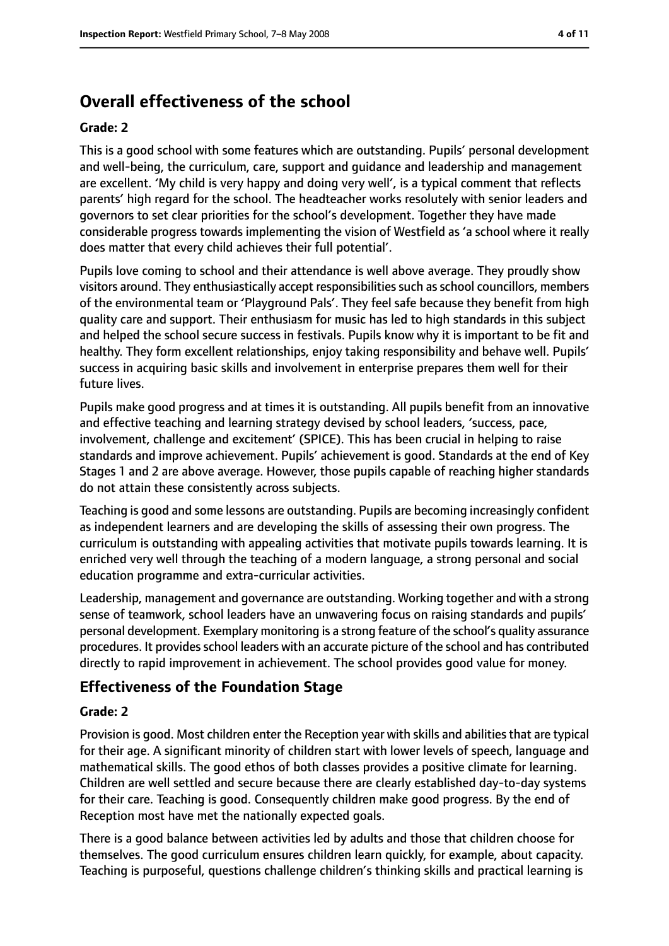# **Overall effectiveness of the school**

#### **Grade: 2**

This is a good school with some features which are outstanding. Pupils' personal development and well-being, the curriculum, care, support and guidance and leadership and management are excellent. 'My child is very happy and doing very well', is a typical comment that reflects parents' high regard for the school. The headteacher works resolutely with senior leaders and governors to set clear priorities for the school's development. Together they have made considerable progress towards implementing the vision of Westfield as 'a school where it really does matter that every child achieves their full potential'.

Pupils love coming to school and their attendance is well above average. They proudly show visitors around. They enthusiastically accept responsibilitiessuch asschool councillors, members of the environmental team or 'Playground Pals'. They feel safe because they benefit from high quality care and support. Their enthusiasm for music has led to high standards in this subject and helped the school secure success in festivals. Pupils know why it is important to be fit and healthy. They form excellent relationships, enjoy taking responsibility and behave well. Pupils' success in acquiring basic skills and involvement in enterprise prepares them well for their future lives.

Pupils make good progress and at times it is outstanding. All pupils benefit from an innovative and effective teaching and learning strategy devised by school leaders, 'success, pace, involvement, challenge and excitement' (SPICE). This has been crucial in helping to raise standards and improve achievement. Pupils' achievement is good. Standards at the end of Key Stages 1 and 2 are above average. However, those pupils capable of reaching higher standards do not attain these consistently across subjects.

Teaching is good and some lessons are outstanding. Pupils are becoming increasingly confident as independent learners and are developing the skills of assessing their own progress. The curriculum is outstanding with appealing activities that motivate pupils towards learning. It is enriched very well through the teaching of a modern language, a strong personal and social education programme and extra-curricular activities.

Leadership, management and governance are outstanding. Working together and with a strong sense of teamwork, school leaders have an unwavering focus on raising standards and pupils' personal development. Exemplary monitoring is a strong feature of the school's quality assurance procedures. It provides school leaders with an accurate picture of the school and has contributed directly to rapid improvement in achievement. The school provides good value for money.

#### **Effectiveness of the Foundation Stage**

#### **Grade: 2**

Provision is good. Most children enter the Reception year with skills and abilities that are typical for their age. A significant minority of children start with lower levels of speech, language and mathematical skills. The good ethos of both classes provides a positive climate for learning. Children are well settled and secure because there are clearly established day-to-day systems for their care. Teaching is good. Consequently children make good progress. By the end of Reception most have met the nationally expected goals.

There is a good balance between activities led by adults and those that children choose for themselves. The good curriculum ensures children learn quickly, for example, about capacity. Teaching is purposeful, questions challenge children's thinking skills and practical learning is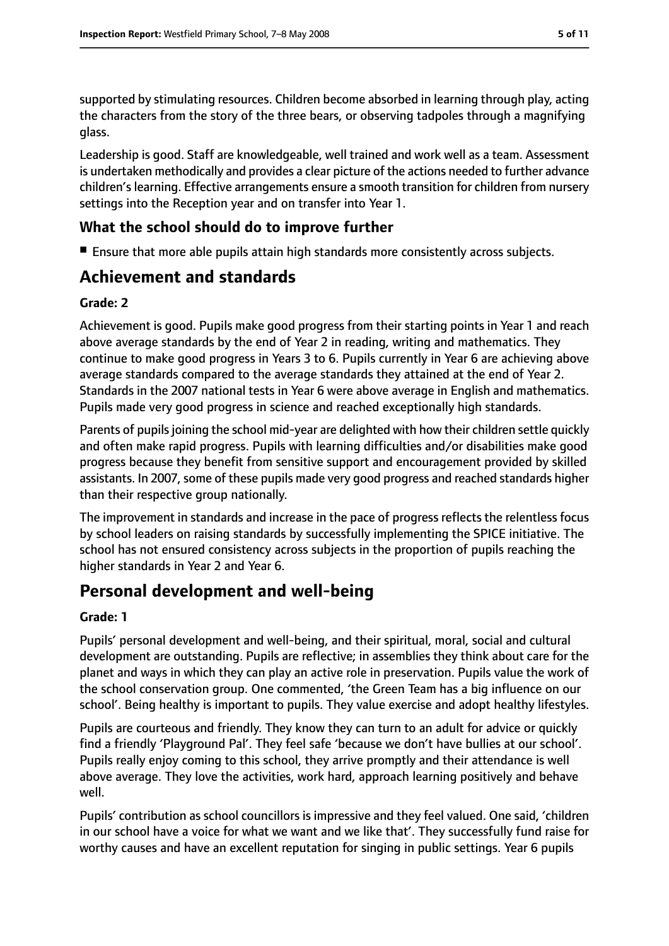supported by stimulating resources. Children become absorbed in learning through play, acting the characters from the story of the three bears, or observing tadpoles through a magnifying glass.

Leadership is good. Staff are knowledgeable, well trained and work well as a team. Assessment is undertaken methodically and provides a clear picture of the actions needed to further advance children's learning. Effective arrangements ensure a smooth transition for children from nursery settings into the Reception year and on transfer into Year 1.

#### **What the school should do to improve further**

■ Ensure that more able pupils attain high standards more consistently across subjects.

# **Achievement and standards**

#### **Grade: 2**

Achievement is good. Pupils make good progress from their starting points in Year 1 and reach above average standards by the end of Year 2 in reading, writing and mathematics. They continue to make good progress in Years 3 to 6. Pupils currently in Year 6 are achieving above average standards compared to the average standards they attained at the end of Year 2. Standards in the 2007 national tests in Year 6 were above average in English and mathematics. Pupils made very good progress in science and reached exceptionally high standards.

Parents of pupils joining the school mid-year are delighted with how their children settle quickly and often make rapid progress. Pupils with learning difficulties and/or disabilities make good progress because they benefit from sensitive support and encouragement provided by skilled assistants. In 2007, some of these pupils made very good progress and reached standards higher than their respective group nationally.

The improvement in standards and increase in the pace of progress reflects the relentless focus by school leaders on raising standards by successfully implementing the SPICE initiative. The school has not ensured consistency across subjects in the proportion of pupils reaching the higher standards in Year 2 and Year 6.

# **Personal development and well-being**

#### **Grade: 1**

Pupils' personal development and well-being, and their spiritual, moral, social and cultural development are outstanding. Pupils are reflective; in assemblies they think about care for the planet and ways in which they can play an active role in preservation. Pupils value the work of the school conservation group. One commented, 'the Green Team has a big influence on our school'. Being healthy is important to pupils. They value exercise and adopt healthy lifestyles.

Pupils are courteous and friendly. They know they can turn to an adult for advice or quickly find a friendly 'Playground Pal'. They feel safe 'because we don't have bullies at our school'. Pupils really enjoy coming to this school, they arrive promptly and their attendance is well above average. They love the activities, work hard, approach learning positively and behave well.

Pupils' contribution as school councillors is impressive and they feel valued. One said, 'children in our school have a voice for what we want and we like that'. They successfully fund raise for worthy causes and have an excellent reputation for singing in public settings. Year 6 pupils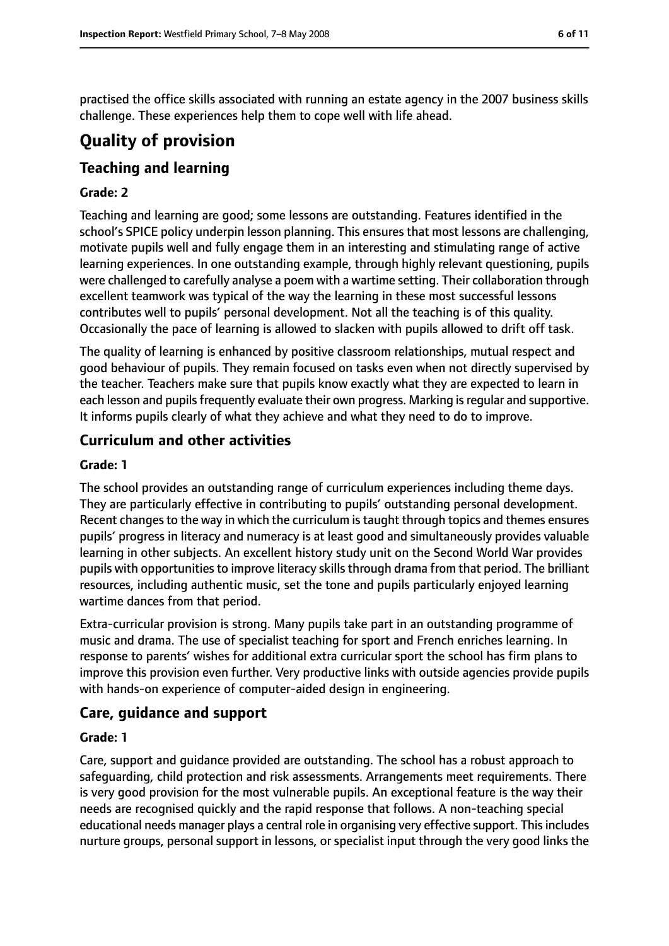practised the office skills associated with running an estate agency in the 2007 business skills challenge. These experiences help them to cope well with life ahead.

# **Quality of provision**

#### **Teaching and learning**

#### **Grade: 2**

Teaching and learning are good; some lessons are outstanding. Features identified in the school's SPICE policy underpin lesson planning. This ensures that most lessons are challenging, motivate pupils well and fully engage them in an interesting and stimulating range of active learning experiences. In one outstanding example, through highly relevant questioning, pupils were challenged to carefully analyse a poem with a wartime setting. Their collaboration through excellent teamwork was typical of the way the learning in these most successful lessons contributes well to pupils' personal development. Not all the teaching is of this quality. Occasionally the pace of learning is allowed to slacken with pupils allowed to drift off task.

The quality of learning is enhanced by positive classroom relationships, mutual respect and good behaviour of pupils. They remain focused on tasks even when not directly supervised by the teacher. Teachers make sure that pupils know exactly what they are expected to learn in each lesson and pupils frequently evaluate their own progress. Marking is regular and supportive. It informs pupils clearly of what they achieve and what they need to do to improve.

#### **Curriculum and other activities**

#### **Grade: 1**

The school provides an outstanding range of curriculum experiences including theme days. They are particularly effective in contributing to pupils' outstanding personal development. Recent changes to the way in which the curriculum is taught through topics and themes ensures pupils' progress in literacy and numeracy is at least good and simultaneously provides valuable learning in other subjects. An excellent history study unit on the Second World War provides pupils with opportunities to improve literacy skills through drama from that period. The brilliant resources, including authentic music, set the tone and pupils particularly enjoyed learning wartime dances from that period.

Extra-curricular provision is strong. Many pupils take part in an outstanding programme of music and drama. The use of specialist teaching for sport and French enriches learning. In response to parents' wishes for additional extra curricular sport the school has firm plans to improve this provision even further. Very productive links with outside agencies provide pupils with hands-on experience of computer-aided design in engineering.

#### **Care, guidance and support**

#### **Grade: 1**

Care, support and guidance provided are outstanding. The school has a robust approach to safeguarding, child protection and risk assessments. Arrangements meet requirements. There is very good provision for the most vulnerable pupils. An exceptional feature is the way their needs are recognised quickly and the rapid response that follows. A non-teaching special educational needs manager plays a central role in organising very effective support. This includes nurture groups, personal support in lessons, or specialist input through the very good links the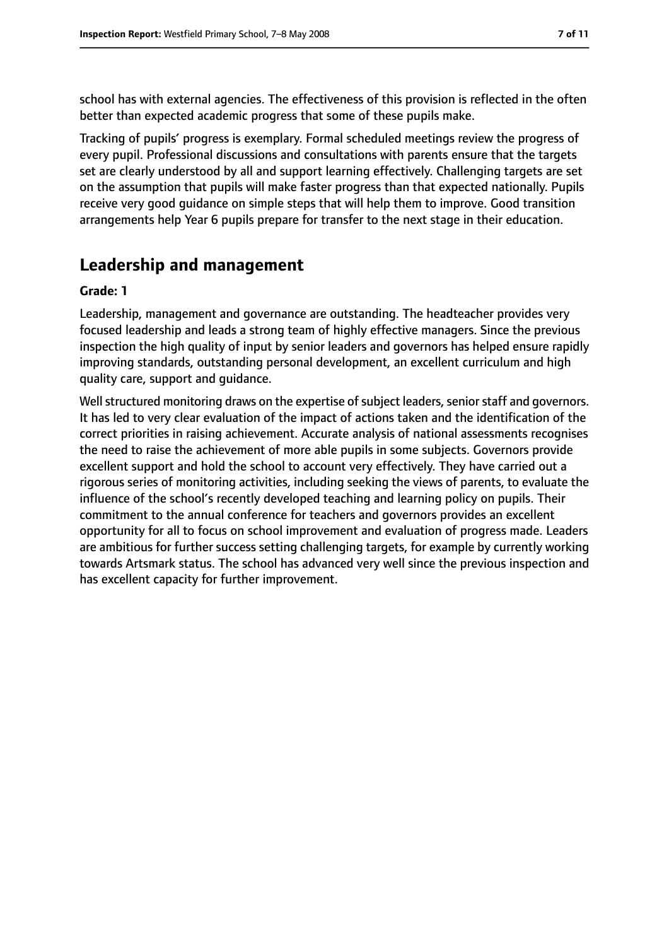school has with external agencies. The effectiveness of this provision is reflected in the often better than expected academic progress that some of these pupils make.

Tracking of pupils' progress is exemplary. Formal scheduled meetings review the progress of every pupil. Professional discussions and consultations with parents ensure that the targets set are clearly understood by all and support learning effectively. Challenging targets are set on the assumption that pupils will make faster progress than that expected nationally. Pupils receive very good guidance on simple steps that will help them to improve. Good transition arrangements help Year 6 pupils prepare for transfer to the next stage in their education.

## **Leadership and management**

#### **Grade: 1**

Leadership, management and governance are outstanding. The headteacher provides very focused leadership and leads a strong team of highly effective managers. Since the previous inspection the high quality of input by senior leaders and governors has helped ensure rapidly improving standards, outstanding personal development, an excellent curriculum and high quality care, support and guidance.

Well structured monitoring draws on the expertise of subject leaders, senior staff and governors. It has led to very clear evaluation of the impact of actions taken and the identification of the correct priorities in raising achievement. Accurate analysis of national assessments recognises the need to raise the achievement of more able pupils in some subjects. Governors provide excellent support and hold the school to account very effectively. They have carried out a rigorous series of monitoring activities, including seeking the views of parents, to evaluate the influence of the school's recently developed teaching and learning policy on pupils. Their commitment to the annual conference for teachers and governors provides an excellent opportunity for all to focus on school improvement and evaluation of progress made. Leaders are ambitious for further success setting challenging targets, for example by currently working towards Artsmark status. The school has advanced very well since the previous inspection and has excellent capacity for further improvement.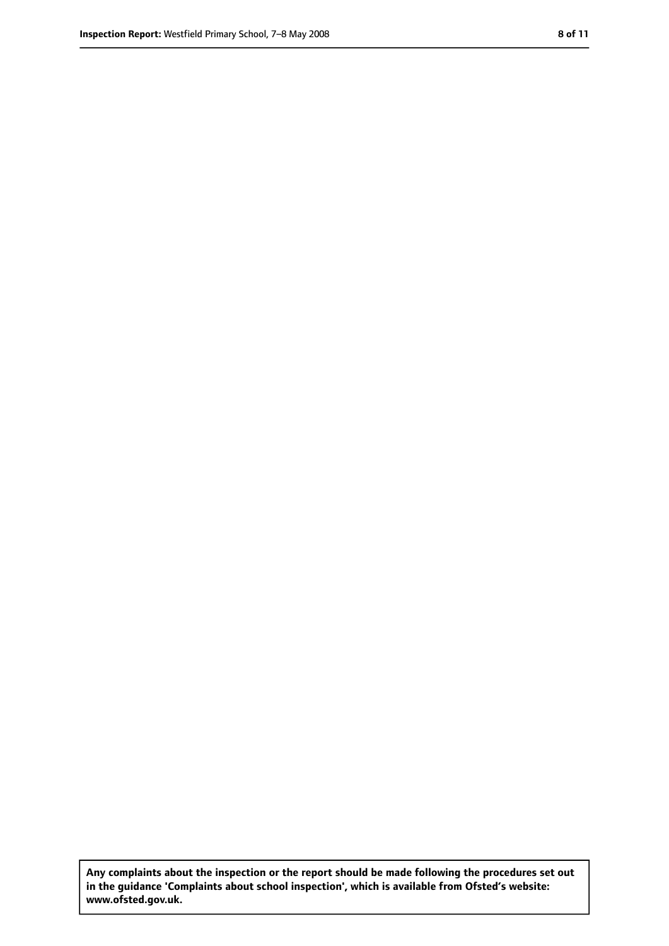**Any complaints about the inspection or the report should be made following the procedures set out in the guidance 'Complaints about school inspection', which is available from Ofsted's website: www.ofsted.gov.uk.**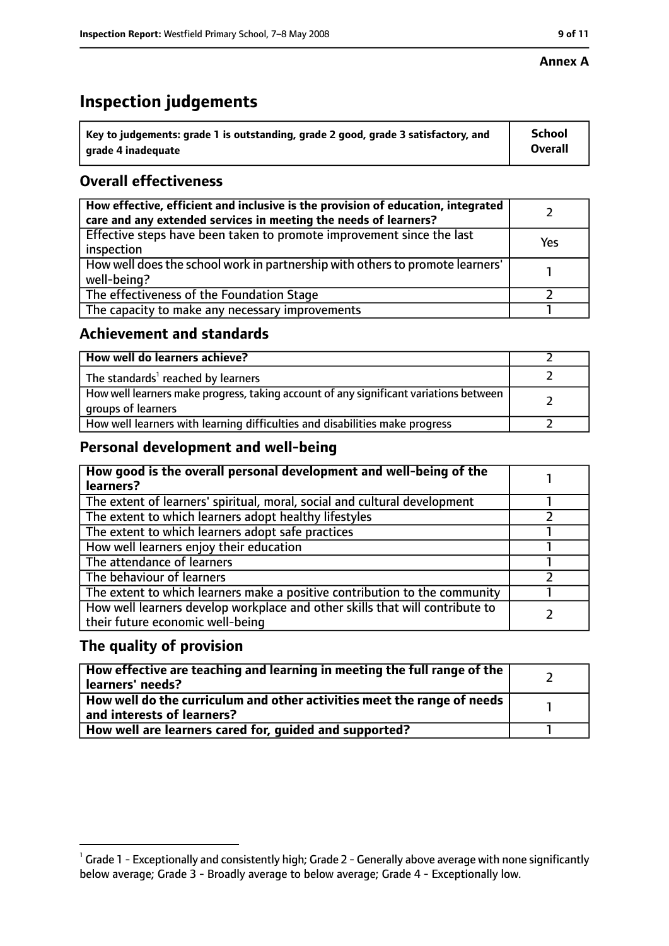#### **Annex A**

# **Inspection judgements**

| $^{\backprime}$ Key to judgements: grade 1 is outstanding, grade 2 good, grade 3 satisfactory, and | <b>School</b>  |
|----------------------------------------------------------------------------------------------------|----------------|
| arade 4 inadequate                                                                                 | <b>Overall</b> |

#### **Overall effectiveness**

| How effective, efficient and inclusive is the provision of education, integrated<br>care and any extended services in meeting the needs of learners? |     |
|------------------------------------------------------------------------------------------------------------------------------------------------------|-----|
| Effective steps have been taken to promote improvement since the last<br>inspection                                                                  | Yes |
| How well does the school work in partnership with others to promote learners'<br>well-being?                                                         |     |
| The effectiveness of the Foundation Stage                                                                                                            |     |
| The capacity to make any necessary improvements                                                                                                      |     |

#### **Achievement and standards**

| How well do learners achieve?                                                                               |  |
|-------------------------------------------------------------------------------------------------------------|--|
| The standards <sup>1</sup> reached by learners                                                              |  |
| How well learners make progress, taking account of any significant variations between<br>groups of learners |  |
| How well learners with learning difficulties and disabilities make progress                                 |  |

#### **Personal development and well-being**

| How good is the overall personal development and well-being of the<br>learners?                                  |  |
|------------------------------------------------------------------------------------------------------------------|--|
| The extent of learners' spiritual, moral, social and cultural development                                        |  |
| The extent to which learners adopt healthy lifestyles                                                            |  |
| The extent to which learners adopt safe practices                                                                |  |
| How well learners enjoy their education                                                                          |  |
| The attendance of learners                                                                                       |  |
| The behaviour of learners                                                                                        |  |
| The extent to which learners make a positive contribution to the community                                       |  |
| How well learners develop workplace and other skills that will contribute to<br>their future economic well-being |  |

#### **The quality of provision**

| How effective are teaching and learning in meeting the full range of the<br>learners' needs?          |  |
|-------------------------------------------------------------------------------------------------------|--|
| How well do the curriculum and other activities meet the range of needs<br>and interests of learners? |  |
| How well are learners cared for, quided and supported?                                                |  |

 $^1$  Grade 1 - Exceptionally and consistently high; Grade 2 - Generally above average with none significantly below average; Grade 3 - Broadly average to below average; Grade 4 - Exceptionally low.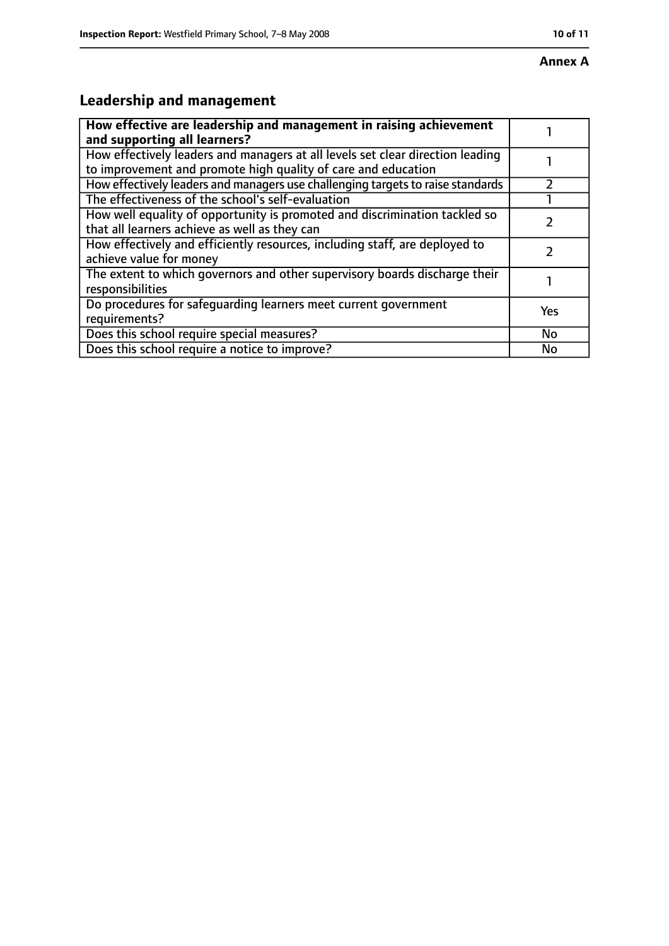# **Annex A**

# **Leadership and management**

| How effective are leadership and management in raising achievement<br>and supporting all learners?                                              |           |
|-------------------------------------------------------------------------------------------------------------------------------------------------|-----------|
| How effectively leaders and managers at all levels set clear direction leading<br>to improvement and promote high quality of care and education |           |
| How effectively leaders and managers use challenging targets to raise standards                                                                 |           |
| The effectiveness of the school's self-evaluation                                                                                               |           |
| How well equality of opportunity is promoted and discrimination tackled so<br>that all learners achieve as well as they can                     |           |
| How effectively and efficiently resources, including staff, are deployed to<br>achieve value for money                                          |           |
| The extent to which governors and other supervisory boards discharge their<br>responsibilities                                                  |           |
| Do procedures for safequarding learners meet current government<br>requirements?                                                                | Yes       |
| Does this school require special measures?                                                                                                      | <b>No</b> |
| Does this school require a notice to improve?                                                                                                   | No        |